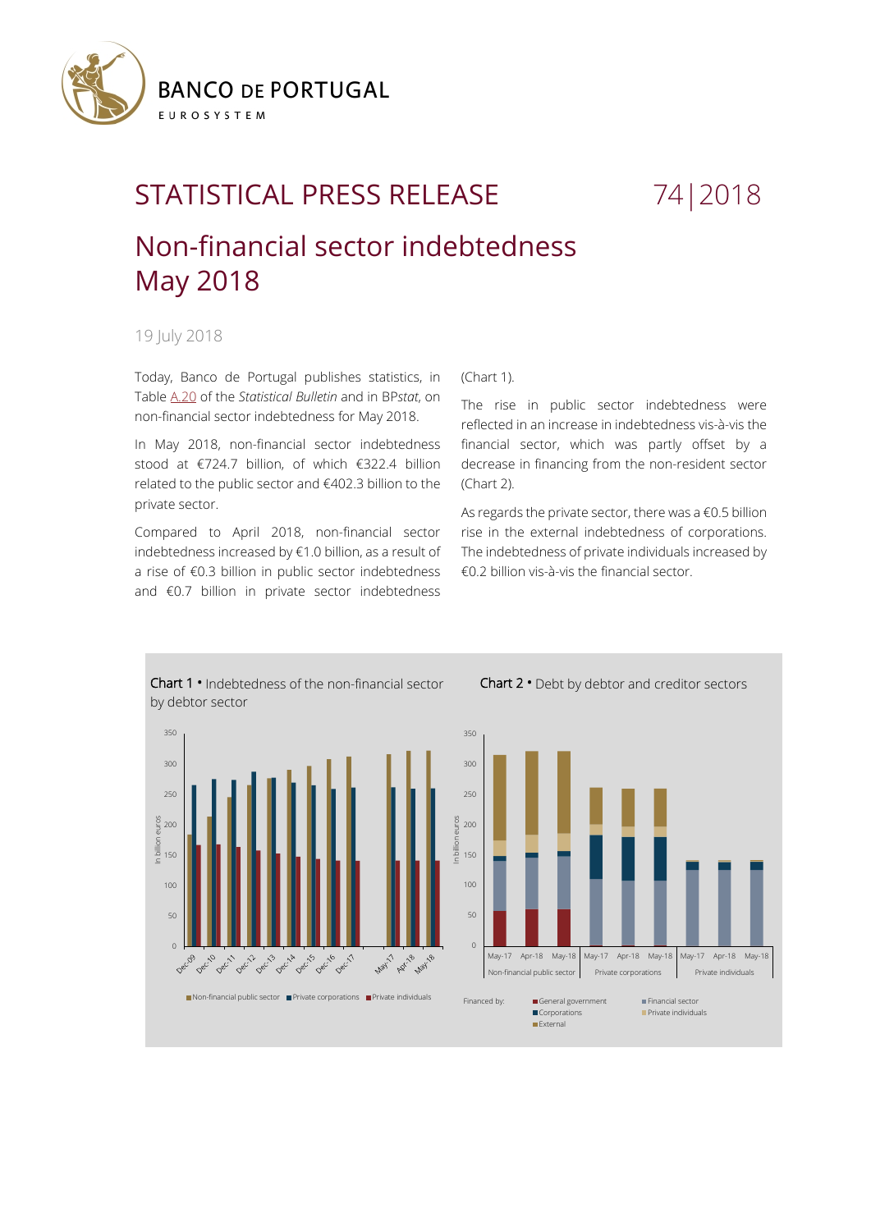

# STATISTICAL PRESS RELEASE 74 | 2018

## Non-financial sector indebtedness May 2018

19 July 2018

Today, Banco de Portugal publishes statistics, in Tabl[e A.20](https://www.bportugal.pt/sites/default/files/anexos/20-endividamento_setor_nao_financeiro_en.pdf) of the *Statistical Bulletin* and in BP*stat*, on non-financial sector indebtedness for May 2018.

In May 2018, non-financial sector indebtedness stood at €724.7 billion, of which €322.4 billion related to the public sector and €402.3 billion to the private sector.

Compared to April 2018, non-financial sector indebtedness increased by €1.0 billion, as a result of a rise of €0.3 billion in public sector indebtedness and €0.7 billion in private sector indebtedness

### (Chart 1).

The rise in public sector indebtedness were reflected in an increase in indebtedness vis-à-vis the financial sector, which was partly offset by a decrease in financing from the non-resident sector (Chart 2).

As regards the private sector, there was a  $€0.5$  billion rise in the external indebtedness of corporations. The indebtedness of private individuals increased by €0.2 billion vis-à-vis the financial sector.

Chart 2 **•** Debt by debtor and creditor sectors



Chart 1 **•** Indebtedness of the non-financial sector